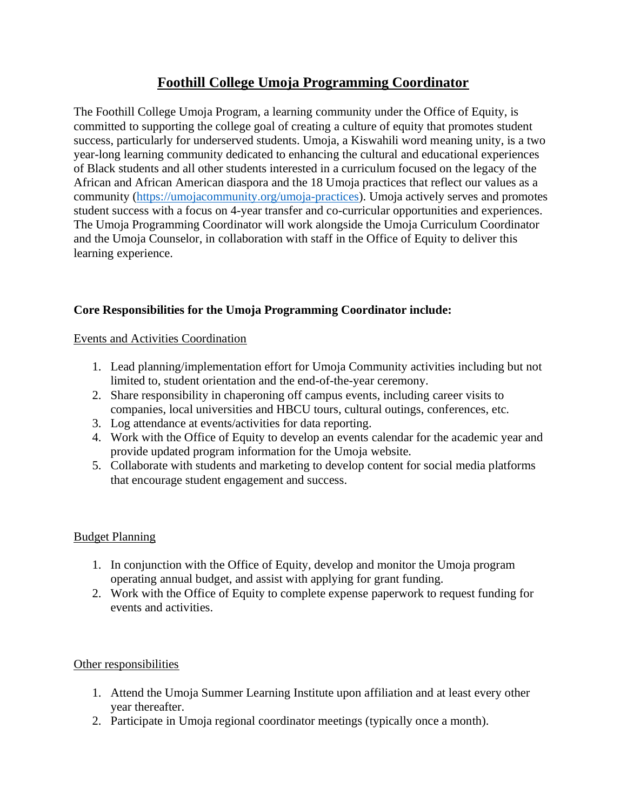# **Foothill College Umoja Programming Coordinator**

The Foothill College Umoja Program, a learning community under the Office of Equity, is committed to supporting the college goal of creating a culture of equity that promotes student success, particularly for underserved students. Umoja, a Kiswahili word meaning unity, is a two year-long learning community dedicated to enhancing the cultural and educational experiences of Black students and all other students interested in a curriculum focused on the legacy of the African and African American diaspora and the 18 Umoja practices that reflect our values as a community [\(https://umojacommunity.org/umoja-practices\)](https://umojacommunity.org/umoja-practices). Umoja actively serves and promotes student success with a focus on 4-year transfer and co-curricular opportunities and experiences. The Umoja Programming Coordinator will work alongside the Umoja Curriculum Coordinator and the Umoja Counselor, in collaboration with staff in the Office of Equity to deliver this learning experience.

# **Core Responsibilities for the Umoja Programming Coordinator include:**

Events and Activities Coordination

- 1. Lead planning/implementation effort for Umoja Community activities including but not limited to, student orientation and the end-of-the-year ceremony.
- 2. Share responsibility in chaperoning off campus events, including career visits to companies, local universities and HBCU tours, cultural outings, conferences, etc.
- 3. Log attendance at events/activities for data reporting.
- 4. Work with the Office of Equity to develop an events calendar for the academic year and provide updated program information for the Umoja website.
- 5. Collaborate with students and marketing to develop content for social media platforms that encourage student engagement and success.

### Budget Planning

- 1. In conjunction with the Office of Equity, develop and monitor the Umoja program operating annual budget, and assist with applying for grant funding.
- 2. Work with the Office of Equity to complete expense paperwork to request funding for events and activities.

### Other responsibilities

- 1. Attend the Umoja Summer Learning Institute upon affiliation and at least every other year thereafter.
- 2. Participate in Umoja regional coordinator meetings (typically once a month).